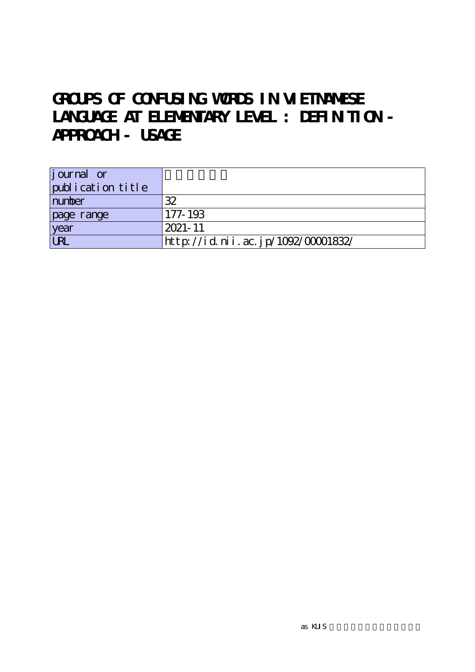# **GROUPS OF CONFUSING WORDS IN VIETNAMESE** LANGUAGE AT ELEMENTARY LEVEL : DEFIN TI ON -**APPROACH - USAGE**

| <i>j</i> ournal or |                                    |
|--------------------|------------------------------------|
| publication title  |                                    |
| number             | 32                                 |
| page range         | 177-193                            |
| year               | $12021 - 11$                       |
| $\overline{UR}$    | http://id.nii.ac.jp/1092/00001832/ |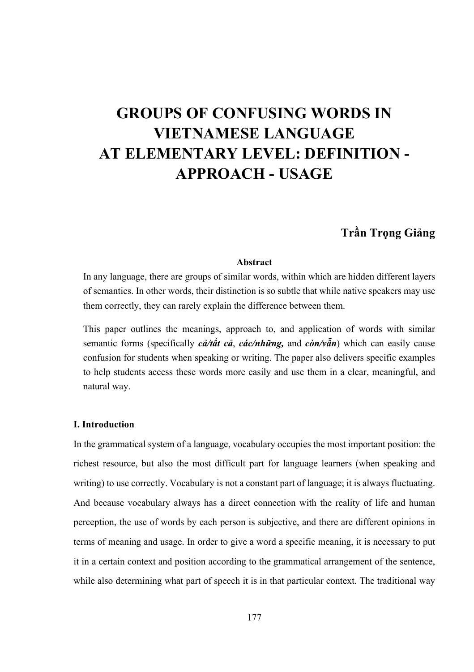# **GROUPS OF CONFUSING WORDS IN VIETNAMESE LANGUAGE AT ELEMENTARY LEVEL: DEFINITION - APPROACH - USAGE**

## **Trần Trọng Giảng**

#### **Abstract**

In any language, there are groups of similar words, within which are hidden different layers of semantics. In other words, their distinction is so subtle that while native speakers may use them correctly, they can rarely explain the difference between them.

This paper outlines the meanings, approach to, and application of words with similar semantic forms (specifically *cả/tất cả*, *các/những,* and *còn/vẫn*) which can easily cause confusion for students when speaking or writing. The paper also delivers specific examples to help students access these words more easily and use them in a clear, meaningful, and natural way.

#### **I. Introduction**

In the grammatical system of a language, vocabulary occupies the most important position: the richest resource, but also the most difficult part for language learners (when speaking and writing) to use correctly. Vocabulary is not a constant part of language; it is always fluctuating. And because vocabulary always has a direct connection with the reality of life and human perception, the use of words by each person is subjective, and there are different opinions in terms of meaning and usage. In order to give a word a specific meaning, it is necessary to put it in a certain context and position according to the grammatical arrangement of the sentence, while also determining what part of speech it is in that particular context. The traditional way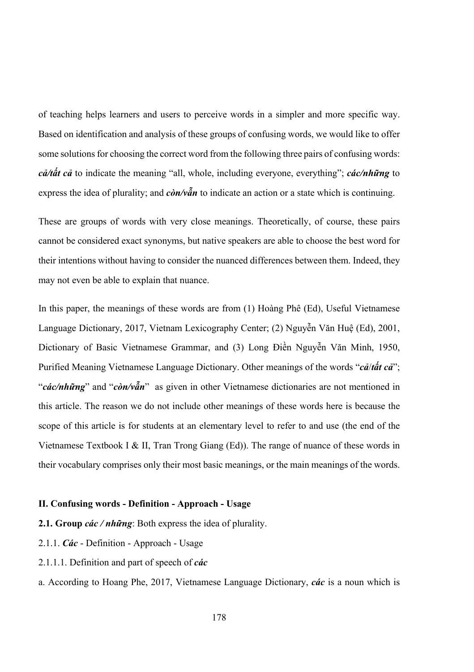of teaching helps learners and users to perceive words in a simpler and more specific way. Based on identification and analysis of these groups of confusing words, we would like to offer some solutions for choosing the correct word from the following three pairs of confusing words: *cả/tất cả* to indicate the meaning "all, whole, including everyone, everything"; *các/những* to express the idea of plurality; and *còn/vẫn* to indicate an action or a state which is continuing.

These are groups of words with very close meanings. Theoretically, of course, these pairs cannot be considered exact synonyms, but native speakers are able to choose the best word for their intentions without having to consider the nuanced differences between them. Indeed, they may not even be able to explain that nuance.

In this paper, the meanings of these words are from (1) Hoàng Phê (Ed), Useful Vietnamese Language Dictionary, 2017, Vietnam Lexicography Center; (2) Nguyễn Văn Huệ (Ed), 2001, Dictionary of Basic Vietnamese Grammar, and (3) Long Điền Nguyễn Văn Minh, 1950, Purified Meaning Vietnamese Language Dictionary. Other meanings of the words "*cả*/*tất cả*"; "*các/những*" and "*còn/vẫn*" as given in other Vietnamese dictionaries are not mentioned in this article. The reason we do not include other meanings of these words here is because the scope of this article is for students at an elementary level to refer to and use (the end of the Vietnamese Textbook I & II, Tran Trong Giang (Ed)). The range of nuance of these words in their vocabulary comprises only their most basic meanings, or the main meanings of the words.

#### **II. Confusing words - Definition - Approach - Usage**

- **2.1. Group** *các / những*: Both express the idea of plurality.
- 2.1.1. *Các* Definition Approach Usage
- 2.1.1.1. Definition and part of speech of *các*
- a. According to Hoang Phe, 2017, Vietnamese Language Dictionary, *các* is a noun which is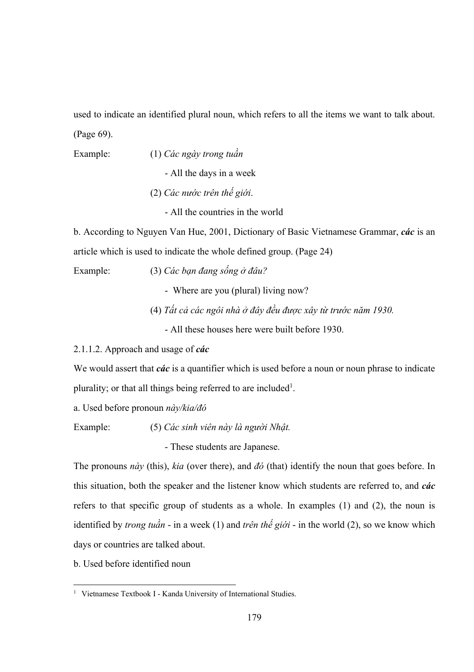used to indicate an identified plural noun, which refers to all the items we want to talk about. (Page 69).

Example: (1) *Các ngày trong tuần*

- All the days in a week

- (2) *Các nước trên thế giới*.
	- All the countries in the world

b. According to Nguyen Van Hue, 2001, Dictionary of Basic Vietnamese Grammar, *các* is an article which is used to indicate the whole defined group. (Page 24)

Example: (3) *Các bạn đang sống ở đâu?*

- Where are you (plural) living now?

(4) *Tất cả các ngôi nhà ở đây đều được xây từ trước năm 1930.*

- All these houses here were built before 1930.

2.1.1.2. Approach and usage of *các*

We would assert that *các* is a quantifier which is used before a noun or noun phrase to indicate plurality; or that all things being referred to are included<sup>1</sup>.

a. Used before pronoun *này/kia/đó*

Example: (5) *Các sinh viên này là người Nhật.*

- These students are Japanese.

The pronouns *này* (this), *kia* (over there), and *đó* (that) identify the noun that goes before. In this situation, both the speaker and the listener know which students are referred to, and *các* refers to that specific group of students as a whole. In examples (1) and (2), the noun is identified by *trong tuần* - in a week (1) and *trên thế giới* - in the world (2), so we know which days or countries are talked about.

b. Used before identified noun

<sup>&</sup>lt;sup>1</sup> Vietnamese Textbook I - Kanda University of International Studies.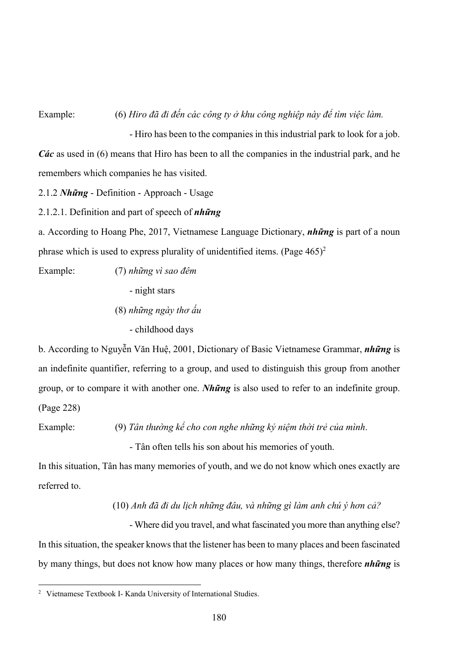Example: (6) *Hiro đã đi đến các công ty ở khu công nghiệp này để tìm việc làm.*

 - Hiro has been to the companies in this industrial park to look for a job. *Các* as used in (6) means that Hiro has been to all the companies in the industrial park, and he remembers which companies he has visited.

2.1.2 *Những* - Definition - Approach - Usage

2.1.2.1. Definition and part of speech of *những*

a. According to Hoang Phe, 2017, Vietnamese Language Dictionary, *những* is part of a noun phrase which is used to express plurality of unidentified items. (Page  $465$ )<sup>2</sup>

Example: (7) *những vì sao đêm*

- night stars

(8) *những ngày thơ ấu*

- childhood days

b. According to Nguyễn Văn Huệ, 2001, Dictionary of Basic Vietnamese Grammar, *những* is an indefinite quantifier, referring to a group, and used to distinguish this group from another group, or to compare it with another one. *Những* is also used to refer to an indefinite group. (Page 228)

Example: (9) *Tân thường kể cho con nghe những kỷ niệm thời trẻ của mình*.

- Tân often tells his son about his memories of youth.

In this situation, Tân has many memories of youth, and we do not know which ones exactly are referred to.

(10) *Anh đã đi du lịch những đâu, và những gì làm anh chú ý hơn cả?* 

 - Where did you travel, and what fascinated you more than anything else? In this situation, the speaker knows that the listener has been to many places and been fascinated by many things, but does not know how many places or how many things, therefore *những* is

<sup>&</sup>lt;sup>2</sup> Vietnamese Textbook I- Kanda University of International Studies.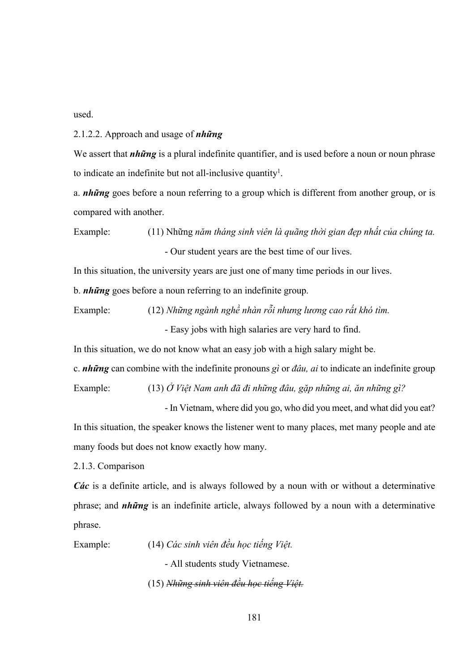used.

2.1.2.2. Approach and usage of *những*

We assert that *những* is a plural indefinite quantifier, and is used before a noun or noun phrase to indicate an indefinite but not all-inclusive quantity<sup>1</sup>.

a. *những* goes before a noun referring to a group which is different from another group, or is compared with another.

Example: (11) Những *năm tháng sinh viên là quãng thời gian đẹp nhất của chúng ta.* - Our student years are the best time of our lives.

In this situation, the university years are just one of many time periods in our lives.

b. *những* goes before a noun referring to an indefinite group.

Example: (12) *Những ngành nghề nhàn rỗi nhưng lương cao rất khó tìm.*

- Easy jobs with high salaries are very hard to find.

In this situation, we do not know what an easy job with a high salary might be.

c. *những* can combine with the indefinite pronouns *gì* or *đâu, ai* to indicate an indefinite group

Example: (13) *Ở Việt Nam anh đã đi những đâu, gặp những ai, ăn những gì?*

- In Vietnam, where did you go, who did you meet, and what did you eat?

In this situation, the speaker knows the listener went to many places, met many people and ate many foods but does not know exactly how many.

2.1.3. Comparison

*Các* is a definite article, and is always followed by a noun with or without a determinative phrase; and *những* is an indefinite article, always followed by a noun with a determinative phrase.

Example: (14) *Các sinh viên đều học tiếng Việt.*

- All students study Vietnamese.

(15) *Những sinh viên đều học tiếng Việt.*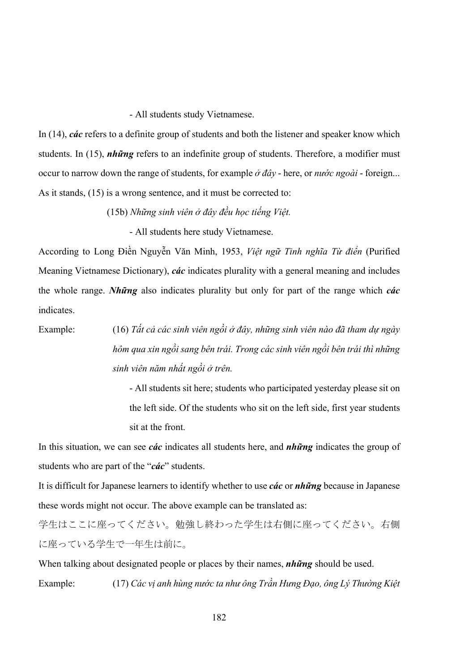- All students study Vietnamese.

In (14), *các* refers to a definite group of students and both the listener and speaker know which students. In (15), *những* refers to an indefinite group of students. Therefore, a modifier must occur to narrow down the range of students, for example *ở đây* - here, or *nước ngoài* - foreign... As it stands, (15) is a wrong sentence, and it must be corrected to:

(15b) *Những sinh viên ở đây đều học tiếng Việt.* 

- All students here study Vietnamese.

According to Long Điền Nguyễn Văn Minh, 1953, *Việt ngữ Tinh nghĩa Từ điển* (Purified Meaning Vietnamese Dictionary), *các* indicates plurality with a general meaning and includes the whole range. *Những* also indicates plurality but only for part of the range which *các*  indicates.

Example: (16) *Tất cả các sinh viên ngồi ở đây, những sinh viên nào đã tham dự ngày hôm qua xin ngồi sang bên trái. Trong các sinh viên ngồi bên trái thì những sinh viên năm nhất ngồi ở trên.*

> - All students sit here; students who participated yesterday please sit on the left side. Of the students who sit on the left side, first year students sit at the front.

In this situation, we can see *các* indicates all students here, and *những* indicates the group of students who are part of the "*các*" students.

It is difficult for Japanese learners to identify whether to use *các* or *những* because in Japanese these words might not occur. The above example can be translated as:

学生はここに座ってください。勉強し終わった学生は右側に座ってください。右側 に座っている学生で一年生は前に。

When talking about designated people or places by their names, *những* should be used. Example: (17) *Các vị anh hùng nước ta như ông Trần Hưng Đạo, ông Lý Thường Kiệt*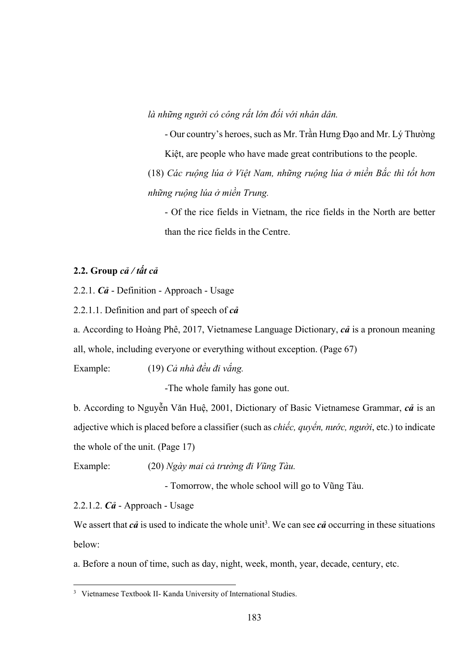*là những người có công rất lớn đối với nhân dân.*

- Our country's heroes, such as Mr. Trần Hưng Đạo and Mr. Lý Thường Kiệt, are people who have made great contributions to the people.

(18) *Các ruộng lúa ở Việt Nam, những ruộng lúa ở miền Bắc thì tốt hơn những ruộng lúa ở miền Trung.*

- Of the rice fields in Vietnam, the rice fields in the North are better than the rice fields in the Centre.

#### **2.2. Group** *cả / tất cả*

2.2.1. *Cả* - Definition - Approach - Usage

2.2.1.1. Definition and part of speech of *cả*

a. According to Hoàng Phê, 2017, Vietnamese Language Dictionary, *cả* is a pronoun meaning all, whole, including everyone or everything without exception. (Page 67)

Example: (19) *Cả nhà đều đi vắng.*

-The whole family has gone out.

b. According to Nguyễn Văn Huệ, 2001, Dictionary of Basic Vietnamese Grammar, *cả* is an adjective which is placed before a classifier (such as *chiếc, quyển, nước, người*, etc.) to indicate the whole of the unit. (Page 17)

Example: (20) *Ngày mai cả trường đi Vũng Tàu.*

- Tomorrow, the whole school will go to Vũng Tàu.

2.2.1.2. *Cả* - Approach - Usage

We assert that  $c\hat{a}$  is used to indicate the whole unit<sup>3</sup>. We can see  $c\hat{a}$  occurring in these situations below:

a. Before a noun of time, such as day, night, week, month, year, decade, century, etc.

<sup>&</sup>lt;sup>3</sup> Vietnamese Textbook II- Kanda University of International Studies.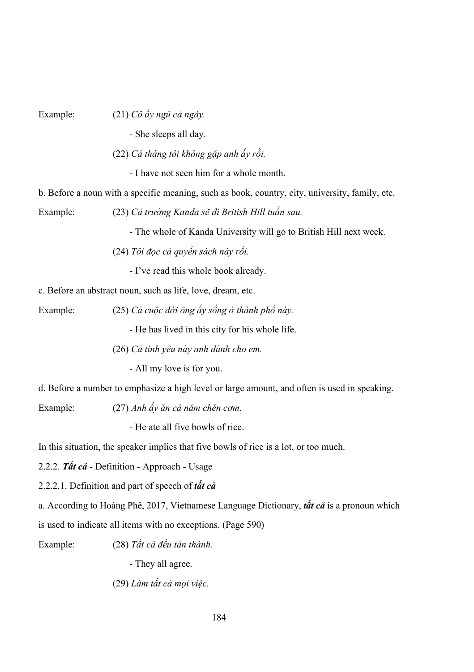Example: (21) *Cô ấy ngủ cả ngày.*

- She sleeps all day.

(22) *Cả tháng tôi không gặp anh ấy rồi.*

- I have not seen him for a whole month.

b. Before a noun with a specific meaning, such as book, country, city, university, family, etc.

Example: (23) *Cả trường Kanda sẽ đi British Hill tuần sau.*

- The whole of Kanda University will go to British Hill next week.

(24) *Tôi đọc cả quyển sách này rồi.*

- I've read this whole book already.

c. Before an abstract noun, such as life, love, dream, etc.

Example: (25) *Cả cuộc đời ông ấy sống ở thành phố này.*

- He has lived in this city for his whole life.

(26) *Cả tình yêu này anh dành cho em.*

- All my love is for you.

d. Before a number to emphasize a high level or large amount, and often is used in speaking.

Example: (27) *Anh ấy ăn cả năm chén cơm.*

- He ate all five bowls of rice.

In this situation, the speaker implies that five bowls of rice is a lot, or too much.

2.2.2. *Tất cả* - Definition - Approach - Usage

2.2.2.1. Definition and part of speech of *tất cả*

a. According to Hoàng Phê, 2017, Vietnamese Language Dictionary, *tất cả* is a pronoun which

is used to indicate all items with no exceptions. (Page 590)

Example: (28) *Tất cả đều tán thành.*

- They all agree.

(29) *Làm tất cả mọi việc.*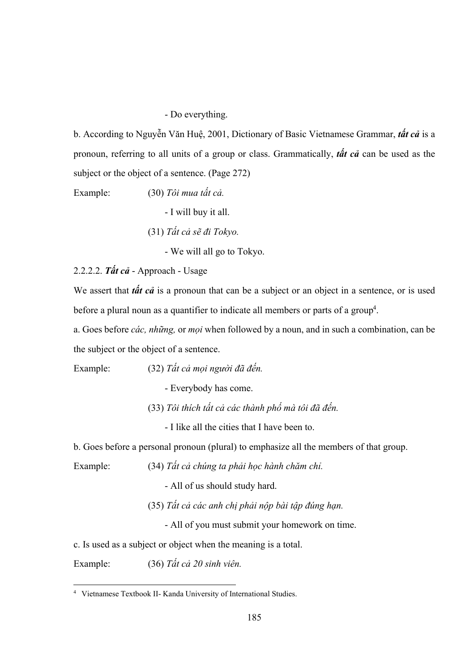- Do everything.

b. According to Nguyễn Văn Huệ, 2001, Dictionary of Basic Vietnamese Grammar, *tất cả* is a pronoun, referring to all units of a group or class. Grammatically, *tất cả* can be used as the subject or the object of a sentence. (Page 272)

Example: (30) *Tôi mua tất cả.*

- I will buy it all.

(31) *Tất cả sẽ đi Tokyo.*

- We will all go to Tokyo.

2.2.2.2. *Tất cả* - Approach - Usage

We assert that *tất cả* is a pronoun that can be a subject or an object in a sentence, or is used before a plural noun as a quantifier to indicate all members or parts of a group<sup>4</sup>.

a. Goes before *các, những,* or *mọi* when followed by a noun, and in such a combination, can be the subject or the object of a sentence.

Example: (32) *Tất cả mọi người đã đến.* 

- Everybody has come.

(33) *Tôi thích tất cả các thành phố mà tôi đã đến.*

- I like all the cities that I have been to.

b. Goes before a personal pronoun (plural) to emphasize all the members of that group.

Example: (34) *Tất cả chúng ta phải học hành chăm chỉ.*

- All of us should study hard.

(35) *Tất cả các anh chị phải nộp bài tập đúng hạn.*

- All of you must submit your homework on time.

c. Is used as a subject or object when the meaning is a total.

Example: (36) *Tất cả 20 sinh viên.*

<sup>4</sup> Vietnamese Textbook II- Kanda University of International Studies.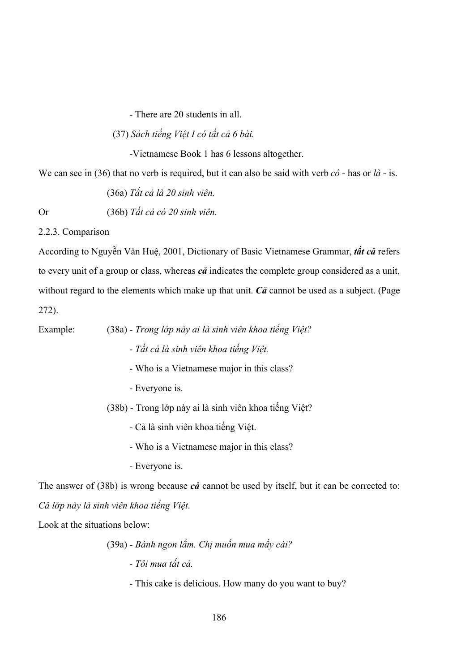- There are 20 students in all.

(37) *Sách tiếng Việt I có tất cả 6 bài.*

-Vietnamese Book 1 has 6 lessons altogether.

We can see in (36) that no verb is required, but it can also be said with verb *có* - has or *là* - is.

(36a) *Tất cả là 20 sinh viên.*

Or (36b) *Tất cả có 20 sinh viên.*

2.2.3. Comparison

According to Nguyễn Văn Huệ, 2001, Dictionary of Basic Vietnamese Grammar, *tất cả* refers to every unit of a group or class, whereas *cả* indicates the complete group considered as a unit, without regard to the elements which make up that unit. *Cả* cannot be used as a subject. (Page 272).

Example: (38a) - *Trong lớp này ai là sinh viên khoa tiếng Việt?*

- *Tất cả là sinh viên khoa tiếng Việt.*
- Who is a Vietnamese major in this class?
- Everyone is.

(38b) - Trong lớp này ai là sinh viên khoa tiếng Việt?

- Cả là sinh viên khoa tiếng Việt.

- Who is a Vietnamese major in this class?

- Everyone is.

The answer of (38b) is wrong because *cả* cannot be used by itself, but it can be corrected to: *Cả lớp này là sinh viên khoa tiếng Việt*.

Look at the situations below:

### (39a) - *Bánh ngon lắm. Chị muốn mua mấy cái?*

 *- Tôi mua tất cả.* 

- This cake is delicious. How many do you want to buy?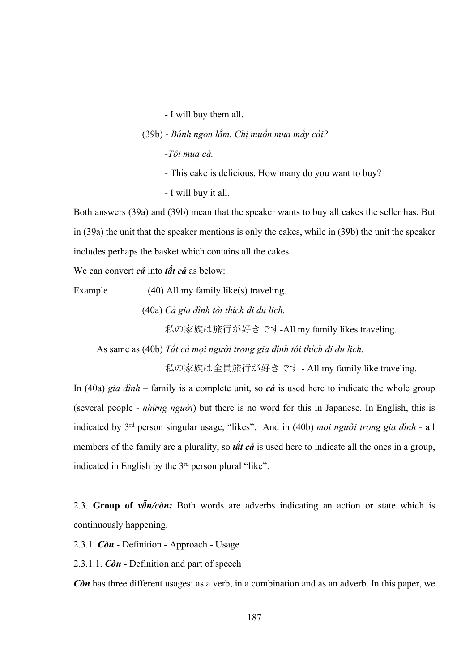- I will buy them all.

(39b) - *Bánh ngon lắm. Chị muốn mua mấy cái?*

-*Tôi mua cả.* 

- This cake is delicious. How many do you want to buy?
- I will buy it all.

Both answers (39a) and (39b) mean that the speaker wants to buy all cakes the seller has. But in (39a) the unit that the speaker mentions is only the cakes, while in (39b) the unit the speaker includes perhaps the basket which contains all the cakes.

We can convert *cả* into *tất cả* as below:

Example (40) All my family like(s) traveling.

(40a) *Cả gia đình tôi thích đi du lịch.*

私の家族は旅行が好きです-All my family likes traveling.

As same as (40b) *Tất cả mọi người trong gia đình tôi thích đi du lịch.*

私の家族は全員旅行が好きです - All my family like traveling.

In (40a) *gia đình* – family is a complete unit, so *cả* is used here to indicate the whole group (several people - *những người*) but there is no word for this in Japanese. In English, this is indicated by 3rd person singular usage, "likes". And in (40b) *mọi người trong gia đình* - all members of the family are a plurality, so *tất cả* is used here to indicate all the ones in a group, indicated in English by the 3<sup>rd</sup> person plural "like".

2.3. **Group of** *vẫn/còn:* Both words are adverbs indicating an action or state which is continuously happening.

2.3.1. *Còn* - Definition - Approach - Usage

2.3.1.1. *Còn* - Definition and part of speech

*Còn* has three different usages: as a verb, in a combination and as an adverb. In this paper, we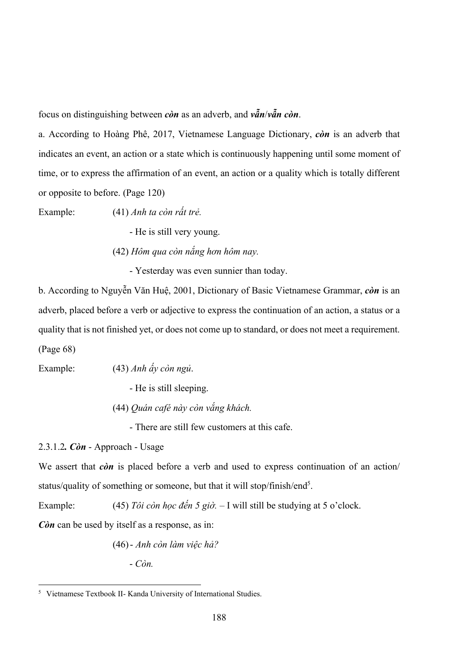focus on distinguishing between *còn* as an adverb, and *vẫn*/*vẫn còn*.

a. According to Hoàng Phê, 2017, Vietnamese Language Dictionary, *còn* is an adverb that indicates an event, an action or a state which is continuously happening until some moment of time, or to express the affirmation of an event, an action or a quality which is totally different or opposite to before. (Page 120)

Example: (41) *Anh ta còn rất trẻ.*

- He is still very young.

(42) *Hôm qua còn nắng hơn hôm nay.* 

- Yesterday was even sunnier than today.

b. According to Nguyễn Văn Huệ, 2001, Dictionary of Basic Vietnamese Grammar, *còn* is an adverb, placed before a verb or adjective to express the continuation of an action, a status or a quality that is not finished yet, or does not come up to standard, or does not meet a requirement. (Page 68)

Example: (43) *Anh ấy còn ngủ*.

- He is still sleeping.

(44) *Quán café này còn vắng khách.*

- There are still few customers at this cafe.

2.3.1.2*. Còn* - Approach - Usage

We assert that *c*on is placed before a verb and used to express continuation of an action/ status/quality of something or someone, but that it will stop/finish/end<sup>5</sup>.

Example: (45) *Tôi còn học đến 5 giờ.* – I will still be studying at 5 o'clock.

*Còn* can be used by itself as a response, as in:

(46)- *Anh còn làm việc hả?*

- *Còn.* 

<sup>5</sup> Vietnamese Textbook II- Kanda University of International Studies.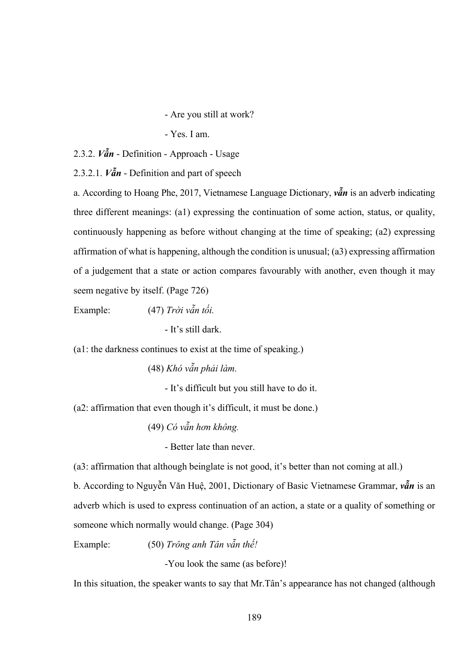- Are you still at work?

- Yes. I am.

2.3.2. *Vẫn* - Definition - Approach - Usage

2.3.2.1. *Vẫn* - Definition and part of speech

a. According to Hoang Phe, 2017, Vietnamese Language Dictionary, *vẫn* is an adverb indicating three different meanings: (a1) expressing the continuation of some action, status, or quality, continuously happening as before without changing at the time of speaking; (a2) expressing affirmation of what is happening, although the condition is unusual; (a3) expressing affirmation of a judgement that a state or action compares favourably with another, even though it may seem negative by itself. (Page 726)

Example: (47) *Trời vẫn tối.*

- It's still dark.

(a1: the darkness continues to exist at the time of speaking.)

(48) *Khó vẫn phải làm.*

- It's difficult but you still have to do it.

(a2: affirmation that even though it's difficult, it must be done.)

(49) *Có vẫn hơn không.*

- Better late than never.

(a3: affirmation that although beinglate is not good, it's better than not coming at all.)

b. According to Nguyễn Văn Huệ, 2001, Dictionary of Basic Vietnamese Grammar, *vẫn* is an adverb which is used to express continuation of an action, a state or a quality of something or someone which normally would change. (Page 304)

Example: (50) *Trông anh Tân vẫn thế!*

-You look the same (as before)!

In this situation, the speaker wants to say that Mr.Tân's appearance has not changed (although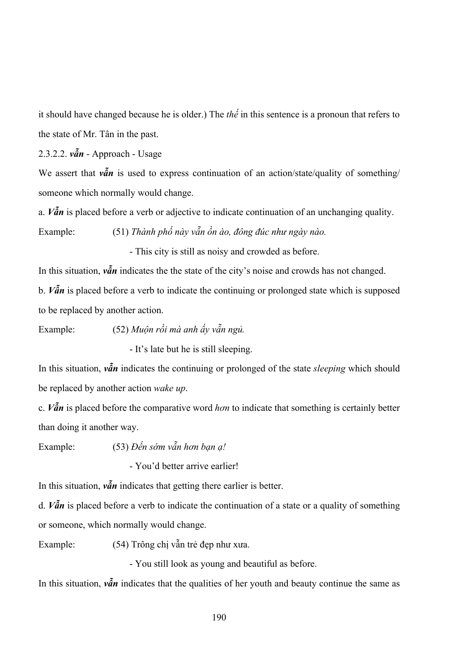it should have changed because he is older.) The *thế* in this sentence is a pronoun that refers to the state of Mr. Tân in the past.

2.3.2.2. *vẫn* - Approach - Usage

We assert that  $v\tilde{a}n$  is used to express continuation of an action/state/quality of something/ someone which normally would change.

a. *Vẫn* is placed before a verb or adjective to indicate continuation of an unchanging quality. Example: (51) *Thành phố này vẫn ồn ào, đông đúc như ngày nào.* 

- This city is still as noisy and crowded as before.

In this situation,  $v\tilde{a}n$  indicates the the state of the city's noise and crowds has not changed. b. *Vẫn* is placed before a verb to indicate the continuing or prolonged state which is supposed to be replaced by another action.

Example: (52) *Muộn rồi mà anh ấy vẫn ngủ.*

- It's late but he is still sleeping.

In this situation, *vẫn* indicates the continuing or prolonged of the state *sleeping* which should be replaced by another action *wake up*.

c. *Vẫn* is placed before the comparative word *hơn* to indicate that something is certainly better than doing it another way.

Example: (53) *Đến sớm vẫn hơn bạn ạ!*

- You'd better arrive earlier!

In this situation, *vẫn* indicates that getting there earlier is better.

d. *Vẫn* is placed before a verb to indicate the continuation of a state or a quality of something or someone, which normally would change.

Example: (54) Trông chị vẫn trẻ đẹp như xưa.

- You still look as young and beautiful as before.

In this situation,  $v\tilde{a}n$  indicates that the qualities of her youth and beauty continue the same as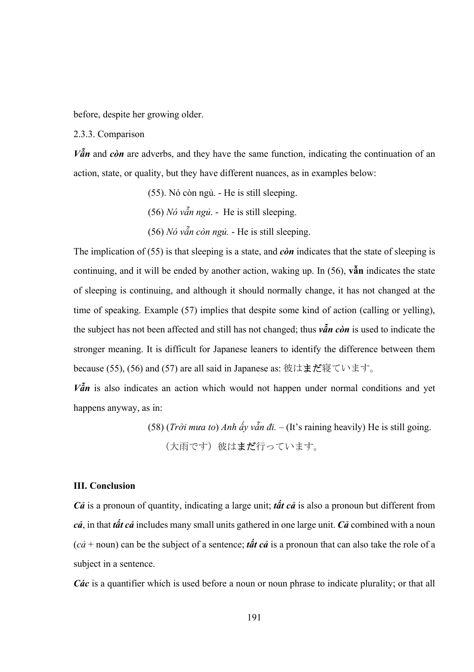before, despite her growing older.

2.3.3. Comparison

 $V\tilde{a}$ *n* and *còn* are adverbs, and they have the same function, indicating the continuation of an action, state, or quality, but they have different nuances, as in examples below:

(55). Nó còn ngủ. - He is still sleeping.

(56) *Nó vẫn ngủ*. - He is still sleeping.

(56) *Nó vẫn còn ngủ.* - He is still sleeping.

The implication of (55) is that sleeping is a state, and *còn* indicates that the state of sleeping is continuing, and it will be ended by another action, waking up. In (56), **vẫn** indicates the state of sleeping is continuing, and although it should normally change, it has not changed at the time of speaking. Example (57) implies that despite some kind of action (calling or yelling), the subject has not been affected and still has not changed; thus *vẫn còn* is used to indicate the stronger meaning. It is difficult for Japanese leaners to identify the difference between them because (55), (56) and (57) are all said in Japanese as: 彼はまだ寝ています。

 $V\tilde{a}$ *n* is also indicates an action which would not happen under normal conditions and yet happens anyway, as in:

> (58) (*Trời mưa to*) *Anh ấy vẫn đi.* – (It's raining heavily) He is still going. (大雨です) 彼はまだ行っています。

#### **III. Conclusion**

*Cả* is a pronoun of quantity, indicating a large unit; *tất cả* is also a pronoun but different from *cả*, in that *tất cả* includes many small units gathered in one large unit. *Cả* combined with a noun (*cả* + noun) can be the subject of a sentence; *tất cả* is a pronoun that can also take the role of a subject in a sentence.

*Các* is a quantifier which is used before a noun or noun phrase to indicate plurality; or that all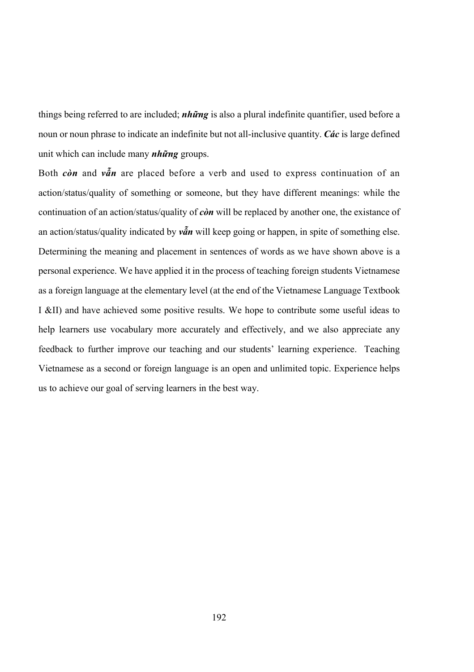things being referred to are included; *những* is also a plural indefinite quantifier, used before a noun or noun phrase to indicate an indefinite but not all-inclusive quantity. *Các* is large defined unit which can include many *những* groups.

Both *còn* and *vẫn* are placed before a verb and used to express continuation of an action/status/quality of something or someone, but they have different meanings: while the continuation of an action/status/quality of *còn* will be replaced by another one, the existance of an action/status/quality indicated by *vẫn* will keep going or happen, in spite of something else. Determining the meaning and placement in sentences of words as we have shown above is a personal experience. We have applied it in the process of teaching foreign students Vietnamese as a foreign language at the elementary level (at the end of the Vietnamese Language Textbook I &II) and have achieved some positive results. We hope to contribute some useful ideas to help learners use vocabulary more accurately and effectively, and we also appreciate any feedback to further improve our teaching and our students' learning experience. Teaching Vietnamese as a second or foreign language is an open and unlimited topic. Experience helps us to achieve our goal of serving learners in the best way.